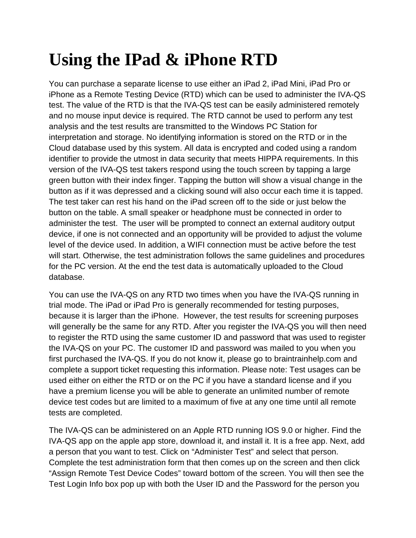## **Using the IPad & iPhone RTD**

You can purchase a separate license to use either an iPad 2, iPad Mini, iPad Pro or iPhone as a Remote Testing Device (RTD) which can be used to administer the IVA-QS test. The value of the RTD is that the IVA-QS test can be easily administered remotely and no mouse input device is required. The RTD cannot be used to perform any test analysis and the test results are transmitted to the Windows PC Station for interpretation and storage. No identifying information is stored on the RTD or in the Cloud database used by this system. All data is encrypted and coded using a random identifier to provide the utmost in data security that meets HIPPA requirements. In this version of the IVA-QS test takers respond using the touch screen by tapping a large green button with their index finger. Tapping the button will show a visual change in the button as if it was depressed and a clicking sound will also occur each time it is tapped. The test taker can rest his hand on the iPad screen off to the side or just below the button on the table. A small speaker or headphone must be connected in order to administer the test. The user will be prompted to connect an external auditory output device, if one is not connected and an opportunity will be provided to adjust the volume level of the device used. In addition, a WIFI connection must be active before the test will start. Otherwise, the test administration follows the same guidelines and procedures for the PC version. At the end the test data is automatically uploaded to the Cloud database.

You can use the IVA-QS on any RTD two times when you have the IVA-QS running in trial mode. The iPad or iPad Pro is generally recommended for testing purposes, because it is larger than the iPhone. However, the test results for screening purposes will generally be the same for any RTD. After you register the IVA-QS you will then need to register the RTD using the same customer ID and password that was used to register the IVA-QS on your PC. The customer ID and password was mailed to you when you first purchased the IVA-QS. If you do not know it, please go to braintrainhelp.com and complete a support ticket requesting this information. Please note: Test usages can be used either on either the RTD or on the PC if you have a standard license and if you have a premium license you will be able to generate an unlimited number of remote device test codes but are limited to a maximum of five at any one time until all remote tests are completed.

The IVA-QS can be administered on an Apple RTD running IOS 9.0 or higher. Find the IVA-QS app on the apple app store, download it, and install it. It is a free app. Next, add a person that you want to test. Click on "Administer Test" and select that person. Complete the test administration form that then comes up on the screen and then click "Assign Remote Test Device Codes" toward bottom of the screen. You will then see the Test Login Info box pop up with both the User ID and the Password for the person you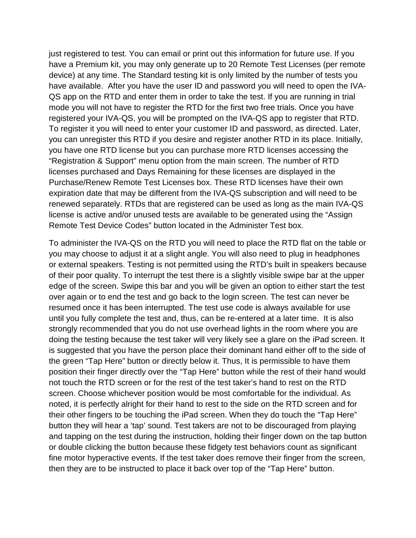just registered to test. You can email or print out this information for future use. If you have a Premium kit, you may only generate up to 20 Remote Test Licenses (per remote device) at any time. The Standard testing kit is only limited by the number of tests you have available. After you have the user ID and password you will need to open the IVA-QS app on the RTD and enter them in order to take the test. If you are running in trial mode you will not have to register the RTD for the first two free trials. Once you have registered your IVA-QS, you will be prompted on the IVA-QS app to register that RTD. To register it you will need to enter your customer ID and password, as directed. Later, you can unregister this RTD if you desire and register another RTD in its place. Initially, you have one RTD license but you can purchase more RTD licenses accessing the "Registration & Support" menu option from the main screen. The number of RTD licenses purchased and Days Remaining for these licenses are displayed in the Purchase/Renew Remote Test Licenses box. These RTD licenses have their own expiration date that may be different from the IVA-QS subscription and will need to be renewed separately. RTDs that are registered can be used as long as the main IVA-QS license is active and/or unused tests are available to be generated using the "Assign Remote Test Device Codes" button located in the Administer Test box.

To administer the IVA-QS on the RTD you will need to place the RTD flat on the table or you may choose to adjust it at a slight angle. You will also need to plug in headphones or external speakers. Testing is not permitted using the RTD's built in speakers because of their poor quality. To interrupt the test there is a slightly visible swipe bar at the upper edge of the screen. Swipe this bar and you will be given an option to either start the test over again or to end the test and go back to the login screen. The test can never be resumed once it has been interrupted. The test use code is always available for use until you fully complete the test and, thus, can be re-entered at a later time. It is also strongly recommended that you do not use overhead lights in the room where you are doing the testing because the test taker will very likely see a glare on the iPad screen. It is suggested that you have the person place their dominant hand either off to the side of the green "Tap Here" button or directly below it. Thus, It is permissible to have them position their finger directly over the "Tap Here" button while the rest of their hand would not touch the RTD screen or for the rest of the test taker's hand to rest on the RTD screen. Choose whichever position would be most comfortable for the individual. As noted, it is perfectly alright for their hand to rest to the side on the RTD screen and for their other fingers to be touching the iPad screen. When they do touch the "Tap Here" button they will hear a 'tap' sound. Test takers are not to be discouraged from playing and tapping on the test during the instruction, holding their finger down on the tap button or double clicking the button because these fidgety test behaviors count as significant fine motor hyperactive events. If the test taker does remove their finger from the screen, then they are to be instructed to place it back over top of the "Tap Here" button.